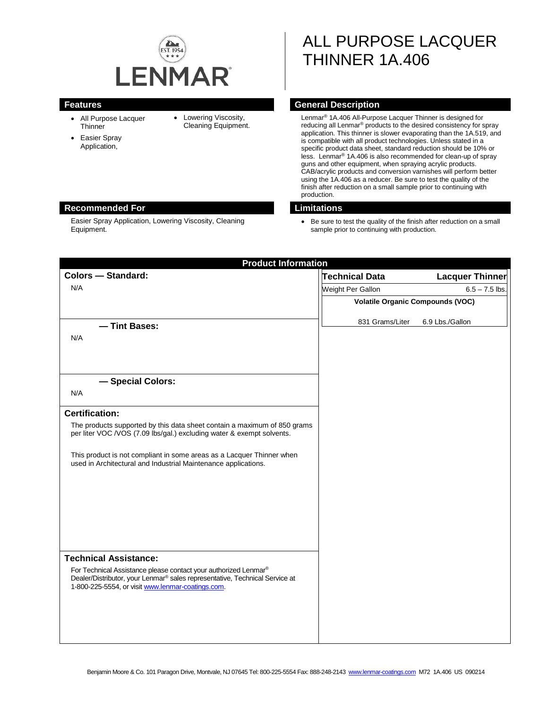

- All Purpose Lacquer **Thinner**
- Easier Spray Application,
- Lowering Viscosity, Cleaning Equipment.

ALL PURPOSE LACQUER THINNER 1A.406

# **Features General Description**

Lenmar® 1A.406 All-Purpose Lacquer Thinner is designed for reducing all Lenmar® products to the desired consistency for spray application. This thinner is slower evaporating than the 1A.519, and is compatible with all product technologies. Unless stated in a specific product data sheet, standard reduction should be 10% or less. Lenmar® 1A.406 is also recommended for clean-up of spray guns and other equipment, when spraying acrylic products. CAB/acrylic products and conversion varnishes will perform better using the 1A.406 as a reducer. Be sure to test the quality of the finish after reduction on a small sample prior to continuing with production.

## **Recommended For Limitations**

Easier Spray Application, Lowering Viscosity, Cleaning Equipment.

• Be sure to test the quality of the finish after reduction on a small sample prior to continuing with production.

| <b>Product Information</b>                                                                                                              |                                         |                        |
|-----------------------------------------------------------------------------------------------------------------------------------------|-----------------------------------------|------------------------|
| <b>Colors - Standard:</b>                                                                                                               | Technical Data                          | <b>Lacquer Thinner</b> |
| N/A                                                                                                                                     | Weight Per Gallon                       | $6.5 - 7.5$ lbs.       |
|                                                                                                                                         | <b>Volatile Organic Compounds (VOC)</b> |                        |
|                                                                                                                                         | 831 Grams/Liter                         | 6.9 Lbs./Gallon        |
| - Tint Bases:                                                                                                                           |                                         |                        |
| N/A                                                                                                                                     |                                         |                        |
|                                                                                                                                         |                                         |                        |
|                                                                                                                                         |                                         |                        |
| - Special Colors:                                                                                                                       |                                         |                        |
| N/A                                                                                                                                     |                                         |                        |
| <b>Certification:</b>                                                                                                                   |                                         |                        |
| The products supported by this data sheet contain a maximum of 850 grams                                                                |                                         |                        |
| per liter VOC /VOS (7.09 lbs/gal.) excluding water & exempt solvents.                                                                   |                                         |                        |
| This product is not compliant in some areas as a Lacquer Thinner when<br>used in Architectural and Industrial Maintenance applications. |                                         |                        |
|                                                                                                                                         |                                         |                        |
|                                                                                                                                         |                                         |                        |
|                                                                                                                                         |                                         |                        |
|                                                                                                                                         |                                         |                        |
|                                                                                                                                         |                                         |                        |
| <b>Technical Assistance:</b>                                                                                                            |                                         |                        |
| For Technical Assistance please contact your authorized Lenmar®                                                                         |                                         |                        |
| Dealer/Distributor, your Lenmar® sales representative, Technical Service at<br>1-800-225-5554, or visit www.lenmar-coatings.com.        |                                         |                        |
|                                                                                                                                         |                                         |                        |
|                                                                                                                                         |                                         |                        |
|                                                                                                                                         |                                         |                        |
|                                                                                                                                         |                                         |                        |